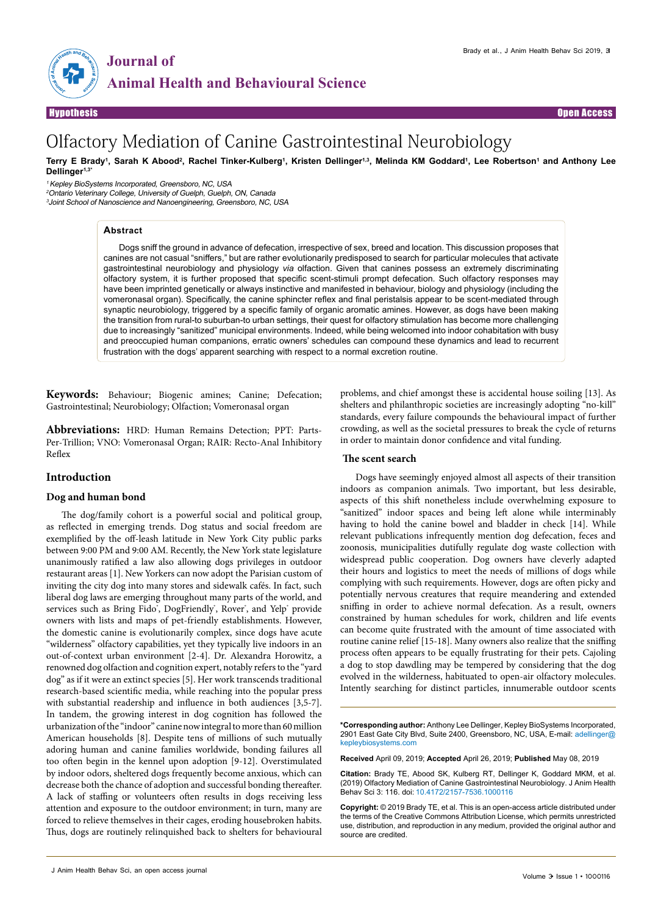



# Olfactory Mediation of Canine Gastrointestinal Neurobiology

Terry E Brady<sup>1</sup>, Sarah K Abood<sup>2</sup>, Rachel Tinker-Kulberg<sup>1</sup>, Kristen Dellinger<sup>1,3</sup>, Melinda KM Goddard<sup>1</sup>, Lee Robertson<sup>1</sup> and Anthony Lee **Dellinger1,3\***

<sup>1</sup>Kepley BioSystems Incorporated, Greensboro, NC, USA

<sup>2</sup>Ontario Veterinary College, University of Guelph, Guelph, ON, Canada 3 Joint School of Nanoscience and Nanoengineering, Greensboro, NC, USA

## **Abstract**

Dogs sniff the ground in advance of defecation, irrespective of sex, breed and location. This discussion proposes that canines are not casual "sniffers," but are rather evolutionarily predisposed to search for particular molecules that activate gastrointestinal neurobiology and physiology *via* olfaction. Given that canines possess an extremely discriminating olfactory system, it is further proposed that specific scent-stimuli prompt defecation. Such olfactory responses may have been imprinted genetically or always instinctive and manifested in behaviour, biology and physiology (including the vomeronasal organ). Specifically, the canine sphincter reflex and final peristalsis appear to be scent-mediated through synaptic neurobiology, triggered by a specific family of organic aromatic amines. However, as dogs have been making the transition from rural-to suburban-to urban settings, their quest for olfactory stimulation has become more challenging due to increasingly "sanitized" municipal environments. Indeed, while being welcomed into indoor cohabitation with busy and preoccupied human companions, erratic owners' schedules can compound these dynamics and lead to recurrent frustration with the dogs' apparent searching with respect to a normal excretion routine.

**Keywords:** Behaviour; Biogenic amines; Canine; Defecation; Gastrointestinal; Neurobiology; Olfaction; Vomeronasal organ

**Abbreviations:** HRD: Human Remains Detection; PPT: Parts-Per-Trillion; VNO: Vomeronasal Organ; RAIR: Recto-Anal Inhibitory Reflex

# **Introduction**

## **Dog and human bond**

The dog/family cohort is a powerful social and political group, as reflected in emerging trends. Dog status and social freedom are exemplified by the off-leash latitude in New York City public parks between 9:00 PM and 9:00 AM. Recently, the New York state legislature unanimously ratified a law also allowing dogs privileges in outdoor restaurant areas [1]. New Yorkers can now adopt the Parisian custom of inviting the city dog into many stores and sidewalk cafés. In fact, such liberal dog laws are emerging throughout many parts of the world, and services such as Bring Fido°, DogFriendly°, Rover°, and Yelp° provide owners with lists and maps of pet-friendly establishments. However, the domestic canine is evolutionarily complex, since dogs have acute "wilderness" olfactory capabilities, yet they typically live indoors in an out-of-context urban environment [2-4]. Dr. Alexandra Horowitz, a renowned dog olfaction and cognition expert, notably refers to the "yard dog" as if it were an extinct species [5]. Her work transcends traditional research-based scientific media, while reaching into the popular press with substantial readership and influence in both audiences [3,5-7]. In tandem, the growing interest in dog cognition has followed the urbanization of the "indoor" canine now integral to more than 60 million American households [8]. Despite tens of millions of such mutually adoring human and canine families worldwide, bonding failures all too often begin in the kennel upon adoption [9-12]. Overstimulated by indoor odors, sheltered dogs frequently become anxious, which can decrease both the chance of adoption and successful bonding thereafter. A lack of staffing or volunteers often results in dogs receiving less attention and exposure to the outdoor environment; in turn, many are forced to relieve themselves in their cages, eroding housebroken habits. Thus, dogs are routinely relinquished back to shelters for behavioural

zoonosis, municipalities dutifully regulate dog waste collection with widespread public cooperation. Dog owners have cleverly adapted their hours and logistics to meet the needs of millions of dogs while complying with such requirements. However, dogs are often picky and

 **The scent search**

potentially nervous creatures that require meandering and extended sniffing in order to achieve normal defecation. As a result, owners constrained by human schedules for work, children and life events can become quite frustrated with the amount of time associated with routine canine relief [15-18]. Many owners also realize that the sniffing process often appears to be equally frustrating for their pets. Cajoling a dog to stop dawdling may be tempered by considering that the dog evolved in the wilderness, habituated to open-air olfactory molecules. Intently searching for distinct particles, innumerable outdoor scents

problems, and chief amongst these is accidental house soiling [13]. As shelters and philanthropic societies are increasingly adopting "no-kill" standards, every failure compounds the behavioural impact of further crowding, as well as the societal pressures to break the cycle of returns

Dogs have seemingly enjoyed almost all aspects of their transition indoors as companion animals. Two important, but less desirable, aspects of this shift nonetheless include overwhelming exposure to "sanitized" indoor spaces and being left alone while interminably having to hold the canine bowel and bladder in check [14]. While relevant publications infrequently mention dog defecation, feces and

in order to maintain donor confidence and vital funding.

**\*Corresponding author:** Anthony Lee Dellinger, Kepley BioSystems Incorporated, 2901 East Gate City Blvd, Suite 2400, Greensboro, NC, USA, E-mail: adellinger@ kepleybiosystems.com

**Received** April 09, 2019; **Accepted** April 26, 2019; **Published** May 08, 2019

**Citation:** Brady TE, Abood SK, Kulberg RT, Dellinger K, Goddard MKM, et al. (2019) Olfactory Mediation of Canine Gastrointestinal Neurobiology. J Anim Health Behav Sci 3: 116. doi: 10.4172/2157-7536.1000116

**Copyright:** © 2019 Brady TE, et al. This is an open-access article distributed under the terms of the Creative Commons Attribution License, which permits unrestricted use, distribution, and reproduction in any medium, provided the original author and source are credited.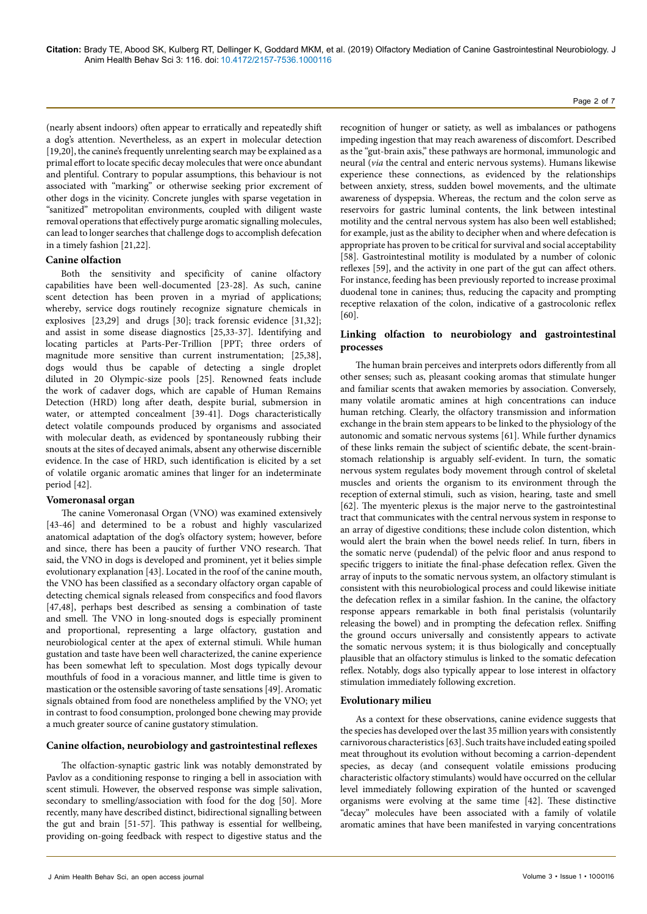(nearly absent indoors) often appear to erratically and repeatedly shift a dog's attention. Nevertheless, as an expert in molecular detection [19,20], the canine's frequently unrelenting search may be explained as a primal effort to locate specific decay molecules that were once abundant and plentiful. Contrary to popular assumptions, this behaviour is not associated with "marking" or otherwise seeking prior excrement of other dogs in the vicinity. Concrete jungles with sparse vegetation in "sanitized" metropolitan environments, coupled with diligent waste removal operations that effectively purge aromatic signalling molecules, can lead to longer searches that challenge dogs to accomplish defecation in a timely fashion [21,22].

## **Canine olfaction**

Both the sensitivity and specificity of canine olfactory capabilities have been well-documented [23-28]. As such, canine scent detection has been proven in a myriad of applications; whereby, service dogs routinely recognize signature chemicals in explosives [23,29] and drugs [30]; track forensic evidence [31,32]; and assist in some disease diagnostics [25,33-37]. Identifying and locating particles at Parts-Per-Trillion [PPT; three orders of magnitude more sensitive than current instrumentation; [25,38], dogs would thus be capable of detecting a single droplet diluted in 20 Olympic-size pools [25]. Renowned feats include the work of cadaver dogs, which are capable of Human Remains Detection (HRD) long after death, despite burial, submersion in water, or attempted concealment [39-41]. Dogs characteristically detect volatile compounds produced by organisms and associated with molecular death, as evidenced by spontaneously rubbing their snouts at the sites of decayed animals, absent any otherwise discernible evidence. In the case of HRD, such identification is elicited by a set of volatile organic aromatic amines that linger for an indeterminate period [42].

# **Vomeronasal organ**

The canine Vomeronasal Organ (VNO) was examined extensively [43-46] and determined to be a robust and highly vascularized anatomical adaptation of the dog's olfactory system; however, before and since, there has been a paucity of further VNO research. That said, the VNO in dogs is developed and prominent, yet it belies simple evolutionary explanation [43]. Located in the roof of the canine mouth, the VNO has been classified as a secondary olfactory organ capable of detecting chemical signals released from conspecifics and food flavors [47,48], perhaps best described as sensing a combination of taste and smell. The VNO in long-snouted dogs is especially prominent and proportional, representing a large olfactory, gustation and neurobiological center at the apex of external stimuli. While human gustation and taste have been well characterized, the canine experience has been somewhat left to speculation. Most dogs typically devour mouthfuls of food in a voracious manner, and little time is given to mastication or the ostensible savoring of taste sensations [49]. Aromatic signals obtained from food are nonetheless amplified by the VNO; yet in contrast to food consumption, prolonged bone chewing may provide a much greater source of canine gustatory stimulation.

# **Canine olfaction, neurobiology and gastrointestinal reflexes**

The olfaction-synaptic gastric link was notably demonstrated by Pavlov as a conditioning response to ringing a bell in association with scent stimuli. However, the observed response was simple salivation, secondary to smelling/association with food for the dog [50]. More recently, many have described distinct, bidirectional signalling between the gut and brain [51-57]. This pathway is essential for wellbeing, providing on-going feedback with respect to digestive status and the

recognition of hunger or satiety, as well as imbalances or pathogens impeding ingestion that may reach awareness of discomfort. Described as the "gut-brain axis," these pathways are hormonal, immunologic and neural (*via* the central and enteric nervous systems). Humans likewise experience these connections, as evidenced by the relationships between anxiety, stress, sudden bowel movements, and the ultimate awareness of dyspepsia. Whereas, the rectum and the colon serve as reservoirs for gastric luminal contents, the link between intestinal motility and the central nervous system has also been well established; for example, just as the ability to decipher when and where defecation is appropriate has proven to be critical for survival and social acceptability [58]. Gastrointestinal motility is modulated by a number of colonic reflexes [59], and the activity in one part of the gut can affect others. For instance, feeding has been previously reported to increase proximal duodenal tone in canines; thus, reducing the capacity and prompting receptive relaxation of the colon, indicative of a gastrocolonic reflex [60].

# **Linking olfaction to neurobiology and gastrointestinal processes**

The human brain perceives and interprets odors differently from all other senses; such as, pleasant cooking aromas that stimulate hunger and familiar scents that awaken memories by association. Conversely, many volatile aromatic amines at high concentrations can induce human retching. Clearly, the olfactory transmission and information exchange in the brain stem appears to be linked to the physiology of the autonomic and somatic nervous systems [61]. While further dynamics of these links remain the subject of scientific debate, the scent-brainstomach relationship is arguably self-evident. In turn, the somatic nervous system regulates body movement through control of skeletal muscles and orients the organism to its environment through the reception of external stimuli, such as vision, hearing, taste and smell [62]. The myenteric plexus is the major nerve to the gastrointestinal tract that communicates with the central nervous system in response to an array of digestive conditions; these include colon distention, which would alert the brain when the bowel needs relief. In turn, fibers in the somatic nerve (pudendal) of the pelvic floor and anus respond to specific triggers to initiate the final-phase defecation reflex. Given the array of inputs to the somatic nervous system, an olfactory stimulant is consistent with this neurobiological process and could likewise initiate the defecation reflex in a similar fashion. In the canine, the olfactory response appears remarkable in both final peristalsis (voluntarily releasing the bowel) and in prompting the defecation reflex. Sniffing the ground occurs universally and consistently appears to activate the somatic nervous system; it is thus biologically and conceptually plausible that an olfactory stimulus is linked to the somatic defecation reflex. Notably, dogs also typically appear to lose interest in olfactory stimulation immediately following excretion.

# **Evolutionary milieu**

As a context for these observations, canine evidence suggests that the species has developed over the last 35 million years with consistently carnivorous characteristics [63]. Such traits have included eating spoiled meat throughout its evolution without becoming a carrion-dependent species, as decay (and consequent volatile emissions producing characteristic olfactory stimulants) would have occurred on the cellular level immediately following expiration of the hunted or scavenged organisms were evolving at the same time [42]. These distinctive "decay" molecules have been associated with a family of volatile aromatic amines that have been manifested in varying concentrations

#### Page 2 of 7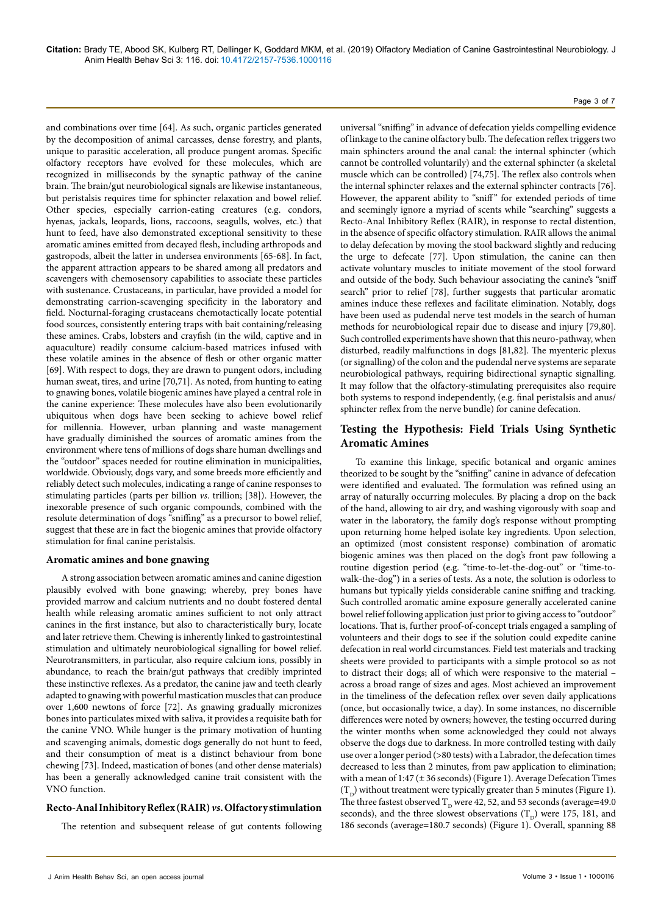and combinations over time [64]. As such, organic particles generated by the decomposition of animal carcasses, dense forestry, and plants, unique to parasitic acceleration, all produce pungent aromas. Specific olfactory receptors have evolved for these molecules, which are recognized in milliseconds by the synaptic pathway of the canine brain. The brain/gut neurobiological signals are likewise instantaneous, but peristalsis requires time for sphincter relaxation and bowel relief. Other species, especially carrion-eating creatures (e.g. condors, hyenas, jackals, leopards, lions, raccoons, seagulls, wolves, etc.) that hunt to feed, have also demonstrated exceptional sensitivity to these aromatic amines emitted from decayed flesh, including arthropods and gastropods, albeit the latter in undersea environments [65-68]. In fact, the apparent attraction appears to be shared among all predators and scavengers with chemosensory capabilities to associate these particles with sustenance. Crustaceans, in particular, have provided a model for demonstrating carrion-scavenging specificity in the laboratory and field. Nocturnal-foraging crustaceans chemotactically locate potential food sources, consistently entering traps with bait containing/releasing these amines. Crabs, lobsters and crayfish (in the wild, captive and in aquaculture) readily consume calcium-based matrices infused with these volatile amines in the absence of flesh or other organic matter [69]. With respect to dogs, they are drawn to pungent odors, including human sweat, tires, and urine [70,71]. As noted, from hunting to eating to gnawing bones, volatile biogenic amines have played a central role in the canine experience: These molecules have also been evolutionarily ubiquitous when dogs have been seeking to achieve bowel relief for millennia. However, urban planning and waste management have gradually diminished the sources of aromatic amines from the environment where tens of millions of dogs share human dwellings and the "outdoor" spaces needed for routine elimination in municipalities, worldwide. Obviously, dogs vary, and some breeds more efficiently and reliably detect such molecules, indicating a range of canine responses to stimulating particles (parts per billion *vs*. trillion; [38]). However, the inexorable presence of such organic compounds, combined with the resolute determination of dogs "sniffing" as a precursor to bowel relief, suggest that these are in fact the biogenic amines that provide olfactory stimulation for final canine peristalsis.

### **Aromatic amines and bone gnawing**

A strong association between aromatic amines and canine digestion plausibly evolved with bone gnawing; whereby, prey bones have provided marrow and calcium nutrients and no doubt fostered dental health while releasing aromatic amines sufficient to not only attract canines in the first instance, but also to characteristically bury, locate and later retrieve them. Chewing is inherently linked to gastrointestinal stimulation and ultimately neurobiological signalling for bowel relief. Neurotransmitters, in particular, also require calcium ions, possibly in abundance, to reach the brain/gut pathways that credibly imprinted these instinctive reflexes. As a predator, the canine jaw and teeth clearly adapted to gnawing with powerful mastication muscles that can produce over 1,600 newtons of force [72]. As gnawing gradually micronizes bones into particulates mixed with saliva, it provides a requisite bath for the canine VNO. While hunger is the primary motivation of hunting and scavenging animals, domestic dogs generally do not hunt to feed, and their consumption of meat is a distinct behaviour from bone chewing [73]. Indeed, mastication of bones (and other dense materials) has been a generally acknowledged canine trait consistent with the VNO function.

# **Recto-Anal Inhibitory Reflex (RAIR)** *vs***. Olfactory stimulation**

The retention and subsequent release of gut contents following

universal "sniffing" in advance of defecation yields compelling evidence of linkage to the canine olfactory bulb. The defecation reflex triggers two main sphincters around the anal canal: the internal sphincter (which cannot be controlled voluntarily) and the external sphincter (a skeletal muscle which can be controlled) [74,75]. The reflex also controls when the internal sphincter relaxes and the external sphincter contracts [76]. However, the apparent ability to "sniff" for extended periods of time and seemingly ignore a myriad of scents while "searching" suggests a Recto-Anal Inhibitory Reflex (RAIR), in response to rectal distention, in the absence of specific olfactory stimulation. RAIR allows the animal to delay defecation by moving the stool backward slightly and reducing the urge to defecate [77]. Upon stimulation, the canine can then activate voluntary muscles to initiate movement of the stool forward and outside of the body. Such behaviour associating the canine's "sniff search" prior to relief [78], further suggests that particular aromatic amines induce these reflexes and facilitate elimination. Notably, dogs have been used as pudendal nerve test models in the search of human methods for neurobiological repair due to disease and injury [79,80]. Such controlled experiments have shown that this neuro-pathway, when disturbed, readily malfunctions in dogs [81,82]. The myenteric plexus (or signalling) of the colon and the pudendal nerve systems are separate neurobiological pathways, requiring bidirectional synaptic signalling. It may follow that the olfactory-stimulating prerequisites also require both systems to respond independently, (e.g. final peristalsis and anus/ sphincter reflex from the nerve bundle) for canine defecation.

# **Testing the Hypothesis: Field Trials Using Synthetic Aromatic Amines**

To examine this linkage, specific botanical and organic amines theorized to be sought by the "sniffing" canine in advance of defecation were identified and evaluated. The formulation was refined using an array of naturally occurring molecules. By placing a drop on the back of the hand, allowing to air dry, and washing vigorously with soap and water in the laboratory, the family dog's response without prompting upon returning home helped isolate key ingredients. Upon selection, an optimized (most consistent response) combination of aromatic biogenic amines was then placed on the dog's front paw following a routine digestion period (e.g. "time-to-let-the-dog-out" or "time-towalk-the-dog") in a series of tests. As a note, the solution is odorless to humans but typically yields considerable canine sniffing and tracking. Such controlled aromatic amine exposure generally accelerated canine bowel relief following application just prior to giving access to "outdoor" locations. That is, further proof-of-concept trials engaged a sampling of volunteers and their dogs to see if the solution could expedite canine defecation in real world circumstances. Field test materials and tracking sheets were provided to participants with a simple protocol so as not to distract their dogs; all of which were responsive to the material – across a broad range of sizes and ages. Most achieved an improvement in the timeliness of the defecation reflex over seven daily applications (once, but occasionally twice, a day). In some instances, no discernible differences were noted by owners; however, the testing occurred during the winter months when some acknowledged they could not always observe the dogs due to darkness. In more controlled testing with daily use over a longer period (>80 tests) with a Labrador, the defecation times decreased to less than 2 minutes, from paw application to elimination; with a mean of 1:47 (± 36 seconds) (Figure 1). Average Defecation Times  $(T<sub>n</sub>)$  without treatment were typically greater than 5 minutes (Figure 1). The three fastest observed  $T_p$  were 42, 52, and 53 seconds (average=49.0 seconds), and the three slowest observations  $(T<sub>n</sub>)$  were 175, 181, and 186 seconds (average=180.7 seconds) (Figure 1). Overall, spanning 88

#### Page 3 of 7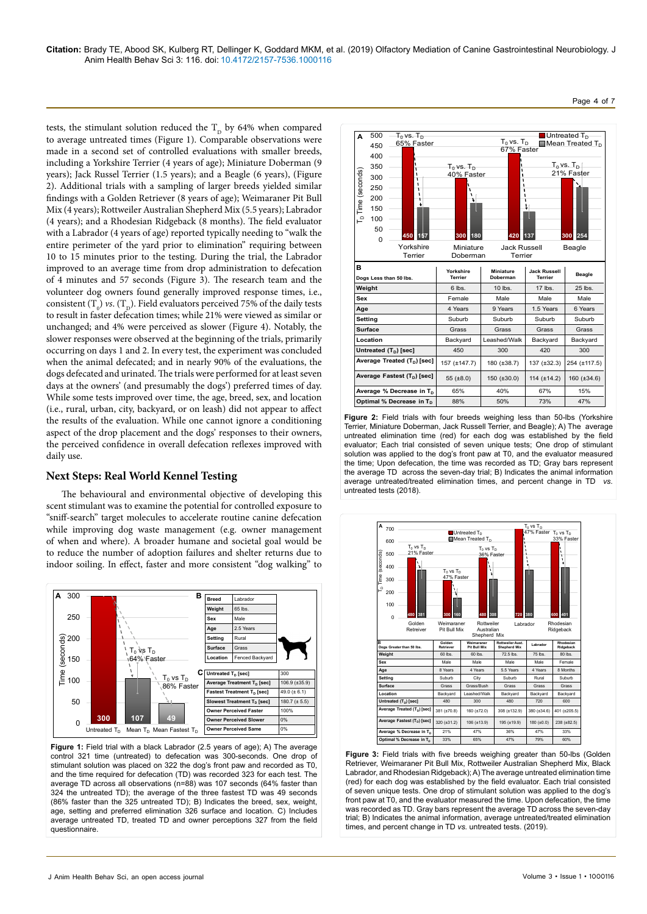tests, the stimulant solution reduced the  $T<sub>D</sub>$  by 64% when compared to average untreated times (Figure 1). Comparable observations were made in a second set of controlled evaluations with smaller breeds, including a Yorkshire Terrier (4 years of age); Miniature Doberman (9 years); Jack Russel Terrier (1.5 years); and a Beagle (6 years), (Figure 2). Additional trials with a sampling of larger breeds yielded similar findings with a Golden Retriever (8 years of age); Weimaraner Pit Bull Mix (4 years); Rottweiler Australian Shepherd Mix (5.5 years); Labrador (4 years); and a Rhodesian Ridgeback (8 months). The field evaluator with a Labrador (4 years of age) reported typically needing to "walk the entire perimeter of the yard prior to elimination" requiring between 10 to 15 minutes prior to the testing. During the trial, the Labrador improved to an average time from drop administration to defecation of 4 minutes and 57 seconds (Figure 3). The research team and the volunteer dog owners found generally improved response times, i.e., consistent  $(T_0)$  *vs*.  $(T_D)$ . Field evaluators perceived 75% of the daily tests to result in faster defecation times; while 21% were viewed as similar or unchanged; and 4% were perceived as slower (Figure 4). Notably, the slower responses were observed at the beginning of the trials, primarily occurring on days 1 and 2. In every test, the experiment was concluded when the animal defecated; and in nearly 90% of the evaluations, the dogs defecated and urinated. The trials were performed for at least seven days at the owners' (and presumably the dogs') preferred times of day. While some tests improved over time, the age, breed, sex, and location (i.e., rural, urban, city, backyard, or on leash) did not appear to affect the results of the evaluation. While one cannot ignore a conditioning aspect of the drop placement and the dogs' responses to their owners, the perceived confidence in overall defecation reflexes improved with daily use.

# **Next Steps: Real World Kennel Testing**

The behavioural and environmental objective of developing this scent stimulant was to examine the potential for controlled exposure to "sniff-search" target molecules to accelerate routine canine defecation while improving dog waste management (e.g. owner management of when and where). A broader humane and societal goal would be to reduce the number of adoption failures and shelter returns due to indoor soiling. In effect, faster and more consistent "dog walking" to



**Figure 1:** Field trial with a black Labrador (2.5 years of age); A) The average control 321 time (untreated) to defecation was 300-seconds. One drop of stimulant solution was placed on 322 the dog's front paw and recorded as T0, and the time required for defecation (TD) was recorded 323 for each test. The average TD across all observations (n=88) was 107 seconds (64% faster than 324 the untreated TD); the average of the three fastest TD was 49 seconds (86% faster than the 325 untreated TD); B) Indicates the breed, sex, weight, age, setting and preferred elimination 326 surface and location. C) Includes average untreated TD, treated TD and owner perceptions 327 from the field questionnaire.



**Figure 2:** Field trials with four breeds weighing less than 50-lbs (Yorkshire Terrier, Miniature Doberman, Jack Russell Terrier, and Beagle); A) The average untreated elimination time (red) for each dog was established by the field evaluator; Each trial consisted of seven unique tests; One drop of stimulant solution was applied to the dog's front paw at T0, and the evaluator measured the time; Upon defecation, the time was recorded as TD; Gray bars represent the average TD across the seven-day trial; B) Indicates the animal information average untreated/treated elimination times, and percent change in TD *vs*. untreated tests (2018).



**Figure 3:** Field trials with five breeds weighing greater than 50-lbs (Golden Retriever, Weimaraner Pit Bull Mix, Rottweiler Australian Shepherd Mix, Black Labrador, and Rhodesian Ridgeback); A) The average untreated elimination time (red) for each dog was established by the field evaluator. Each trial consisted of seven unique tests. One drop of stimulant solution was applied to the dog's front paw at T0, and the evaluator measured the time. Upon defecation, the time was recorded as TD. Gray bars represent the average TD across the seven-day trial; B) Indicates the animal information, average untreated/treated elimination times, and percent change in TD *vs.* untreated tests. (2019).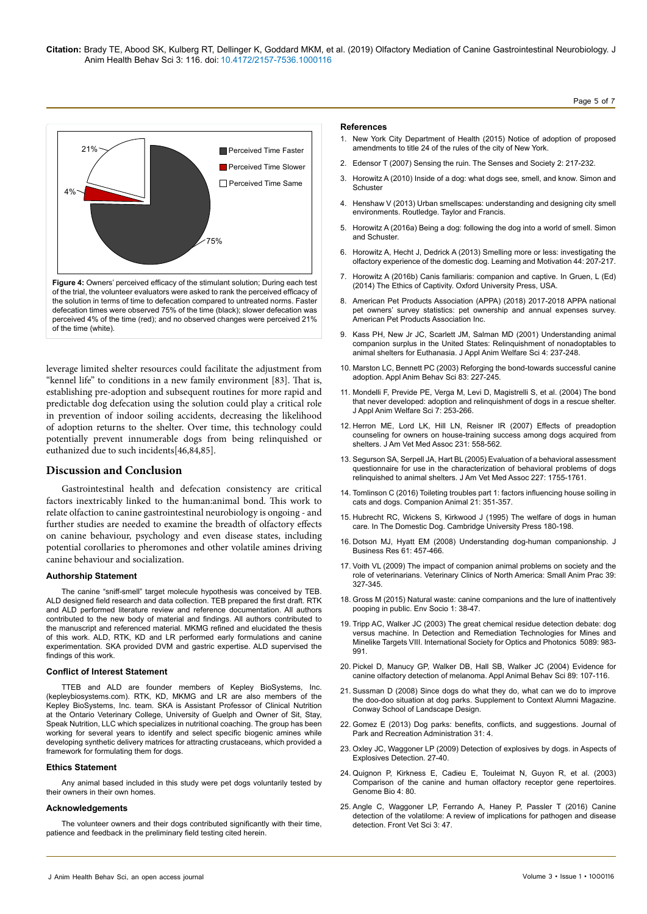

leverage limited shelter resources could facilitate the adjustment from "kennel life" to conditions in a new family environment [83]. That is, establishing pre-adoption and subsequent routines for more rapid and predictable dog defecation using the solution could play a critical role in prevention of indoor soiling accidents, decreasing the likelihood of adoption returns to the shelter. Over time, this technology could potentially prevent innumerable dogs from being relinquished or euthanized due to such incidents[46,84,85].

# **Discussion and Conclusion**

Gastrointestinal health and defecation consistency are critical factors inextricably linked to the human:animal bond. This work to relate olfaction to canine gastrointestinal neurobiology is ongoing - and further studies are needed to examine the breadth of olfactory effects on canine behaviour, psychology and even disease states, including potential corollaries to pheromones and other volatile amines driving canine behaviour and socialization.

## **Authorship Statement**

The canine "sniff-smell" target molecule hypothesis was conceived by TEB. ALD designed field research and data collection. TEB prepared the first draft. RTK and ALD performed literature review and reference documentation. All authors contributed to the new body of material and findings. All authors contributed to the manuscript and referenced material. MKMG refined and elucidated the thesis of this work. ALD, RTK, KD and LR performed early formulations and canine experimentation. SKA provided DVM and gastric expertise. ALD supervised the findings of this work.

#### **Conflict of Interest Statement**

TTEB and ALD are founder members of Kepley BioSystems, Inc. ([kepleybiosystems.com](http://kepleybiosystems.com/)). RTK, KD, MKMG and LR are also members of the Kepley BioSystems, Inc. team. SKA is Assistant Professor of Clinical Nutrition at the Ontario Veterinary College, University of Guelph and Owner of Sit, Stay, Speak Nutrition, LLC which specializes in nutritional coaching. The group has been working for several years to identify and select specific biogenic amines while developing synthetic delivery matrices for attracting crustaceans, which provided a framework for formulating them for dogs.

#### **Ethics Statement**

Any animal based included in this study were pet dogs voluntarily tested by their owners in their own homes.

#### **Acknowledgements**

The volunteer owners and their dogs contributed significantly with their time, patience and feedback in the preliminary field testing cited herein.

#### **References**

1. New York City Department of Health (2015) Notice of adoption of proposed amendments to title 24 of the rules of the city of New York.

Page 5 of 7

- 2. [Edensor T \(2007\) Sensing the ruin. The Senses and Society 2: 217-232.](https://doi.org/10.2752/174589307X203100)
- 3. Horowitz A (2010) Inside of a dog: what dogs see, smell, and know. Simon and Schuster
- 4. [Henshaw V \(2013\) Urban smellscapes: understanding and designing city smell](https://doi.org/10.4324/9780203072776)  [environments. Routledge. Taylor and Francis.](https://doi.org/10.4324/9780203072776)
- 5. Horowitz A (2016a) Being a dog: following the dog into a world of smell. Simon and Schuster.
- 6. Horowitz A, Hecht J, Dedrick A (2013) Smelling more or less: investigating the olfactory experience of the domestic dog. Learning and Motivation 44: 207-217.
- 7. Horowitz A (2016b) Canis familiaris: companion and captive. In Gruen, L (Ed) (2014) The Ethics of Captivity. Oxford University Press, USA.
- 8. American Pet Products Association (APPA) (2018) 2017-2018 APPA national pet owners' survey statistics: pet ownership and annual expenses survey. American Pet Products Association Inc.
- 9. [Kass PH, New Jr JC, Scarlett JM, Salman MD \(2001\) Understanding animal](https://doi.org/10.1207/S15327604JAWS0404_01)  [companion surplus in the United States: Relinquishment of nonadoptables to](https://doi.org/10.1207/S15327604JAWS0404_01)  [animal shelters for Euthanasia. J Appl Anim Welfare Sci 4: 237-248.](https://doi.org/10.1207/S15327604JAWS0404_01)
- 10. [Marston LC, Bennett PC \(2003\) Reforging the bond-towards successful canine](https://doi.org/10.1016/S0168-1591(03)00135-7)  [adoption. Appl Anim Behav Sci 83: 227-245.](https://doi.org/10.1016/S0168-1591(03)00135-7)
- 11. [Mondelli F, Previde PE, Verga M, Levi D, Magistrelli S, et al. \(2004\) The bond](https://doi.org/10.1207/s15327604jaws0704_3)  [that never developed: adoption and relinquishment of dogs in a rescue shelter.](https://doi.org/10.1207/s15327604jaws0704_3)  [J Appl Anim Welfare Sci 7: 253-266.](https://doi.org/10.1207/s15327604jaws0704_3)
- 12. [Herron ME, Lord LK, Hill LN, Reisner IR \(2007\) Effects of preadoption](https://doi.org/10.2460/javma.231.4.558) [counseling for owners on house-training success among dogs acquired from](https://doi.org/10.2460/javma.231.4.558) [shelters. J Am Vet Med Assoc 231: 558-562.](https://doi.org/10.2460/javma.231.4.558)
- 13. [Segurson SA, Serpell JA, Hart BL \(2005\) Evaluation of a behavioral assessment](https://doi.org/10.2460/javma.2005.227.1755) [questionnaire for use in the characterization of behavioral problems of dogs](https://doi.org/10.2460/javma.2005.227.1755) [relinquished to animal shelters. J Am Vet Med Assoc 227: 1755-1761.](https://doi.org/10.2460/javma.2005.227.1755)
- 14. [Tomlinson C \(2016\) Toileting troubles part 1: factors influencing house soiling in](https://doi.org/10.12968/coan.2016.21.6.351) [cats and dogs. Companion Animal 21: 351-357.](https://doi.org/10.12968/coan.2016.21.6.351)
- 15. [Hubrecht RC, Wickens S, Kirkwood J \(1995\) The welfare of dogs in human](https://doi.org/10.1017/9781139161800.014) [care. In The Domestic Dog. Cambridge University Press 180-198.](https://doi.org/10.1017/9781139161800.014)
- 16. [Dotson MJ, Hyatt EM \(2008\) Understanding dog-human companionship. J](http://dx.doi.org/10.1016/j.jbusres.2007.07.019) [Business Res 61: 457-466.](http://dx.doi.org/10.1016/j.jbusres.2007.07.019)
- 17. [Voith VL \(2009\) The impact of companion animal problems on society and the](http://dx.doi.org/10.1016/j.cvsm.2008.10.014) [role of veterinarians. Veterinary Clinics of North America: Small Anim Prac 39:](http://dx.doi.org/10.1016/j.cvsm.2008.10.014) [327-345.](http://dx.doi.org/10.1016/j.cvsm.2008.10.014)
- 18. [Gross M \(2015\) Natural waste: canine companions and the lure of inattentively](https://doi.org/10.1080/23251042.2014.965402) [pooping in public. Env Socio 1: 38-47.](https://doi.org/10.1080/23251042.2014.965402)
- 19. [Tripp AC, Walker JC \(2003\) The great chemical residue detection debate: dog](https://doi.org/10.1117/12.485637) [versus machine. In Detection and Remediation Technologies for Mines and](https://doi.org/10.1117/12.485637) [Minelike Targets VIII. International Society for Optics and Photonics 5089: 983-](https://doi.org/10.1117/12.485637) [991.](https://doi.org/10.1117/12.485637)
- 20. [Pickel D, Manucy GP, Walker DB, Hall SB, Walker JC \(2004\) Evidence for](http://dx.doi.org/10.1016/j.applanim.2004.04.008) [canine olfactory detection of melanoma. Appl Animal Behav Sci 89: 107-116.](http://dx.doi.org/10.1016/j.applanim.2004.04.008)
- 21. Sussman D (2008) Since dogs do what they do, what can we do to improve the doo-doo situation at dog parks. Supplement to Context Alumni Magazine. Conway School of Landscape Design.
- 22. Gomez E (2013) Dog parks: benefits, conflicts, and suggestions. Journal of Park and Recreation Administration 31: 4.
- 23. [Oxley JC, Waggoner LP \(2009\) Detection of explosives by dogs. in Aspects of](http://dx.doi.org/10.1016/B978-0-12-374533-0.00003-9) [Explosives Detection. 27-40.](http://dx.doi.org/10.1016/B978-0-12-374533-0.00003-9)
- 24. [Quignon P, Kirkness E, Cadieu E, Touleimat N, Guyon R, et al. \(2003\)](https://doi.org/10.1186/gb-2003-4-12-r80) [Comparison of the canine and human olfactory receptor gene repertoires.](https://doi.org/10.1186/gb-2003-4-12-r80) [Genome Bio 4: 80.](https://doi.org/10.1186/gb-2003-4-12-r80)
- 25. [Angle C, Waggoner LP, Ferrando A, Haney P, Passler T \(2016\) Canine](https://doi.org/10.3389/fvets.2016.00047) [detection of the volatilome: A review of implications for pathogen and disease](https://doi.org/10.3389/fvets.2016.00047) [detection. Front Vet Sci 3: 47.](https://doi.org/10.3389/fvets.2016.00047)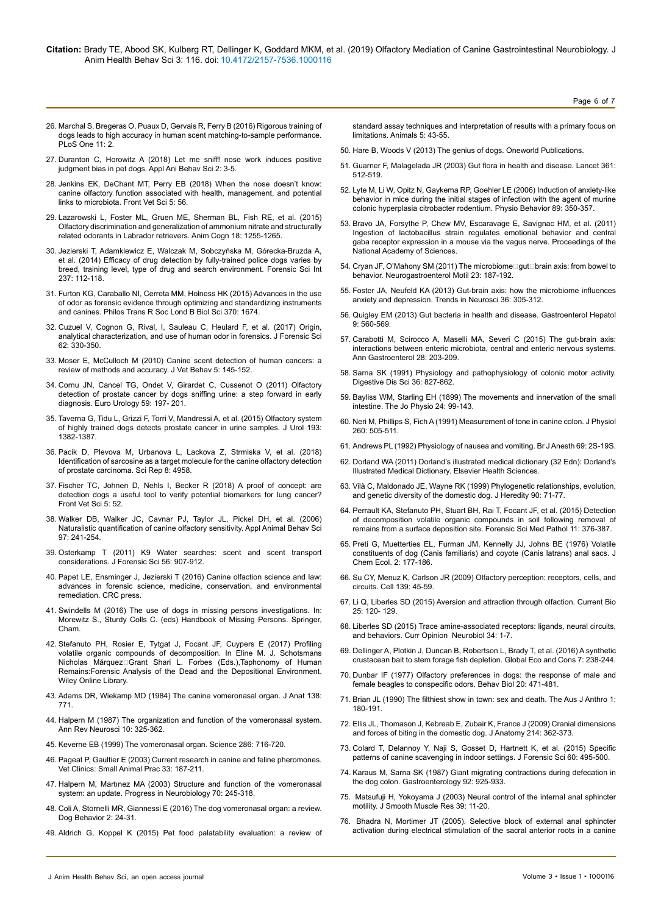- 26. [Marchal S, Bregeras O, Puaux D, Gervais R, Ferry B \(2016\) Rigorous training of](https://doi.org/10.1371/journal.pone.0146963) [dogs leads to high accuracy in human scent matching-to-sample performance.](https://doi.org/10.1371/journal.pone.0146963) [PLoS One 11: 2.](https://doi.org/10.1371/journal.pone.0146963)
- 27. [Duranton C, Horowitz A \(2018\) Let me sniff! nose work induces positive](https://www.sciencedirect.com/science/article/abs/pii/S0168159118304325) [judgment bias in pet dogs. Appl Ani Behav Sci 2: 3-5.](https://www.sciencedirect.com/science/article/abs/pii/S0168159118304325)
- 28. [Jenkins EK, DeChant MT, Perry EB \(2018\) When the nose doesn't know:](https://www.frontiersin.org/articles/10.3389/fvets.2018.00056/full) [canine olfactory function associated with health, management, and potential](https://www.frontiersin.org/articles/10.3389/fvets.2018.00056/full) [links to microbiota. Front Vet Sci 5: 56.](https://www.frontiersin.org/articles/10.3389/fvets.2018.00056/full)
- 29. [Lazarowski L, Foster ML, Gruen ME, Sherman BL, Fish RE, et al. \(2015\)](https://doi.org/10.1007/s10071-015-0894-9) [Olfactory discrimination and generalization of ammonium nitrate and structurally](https://doi.org/10.1007/s10071-015-0894-9) [related odorants in Labrador retrievers. Anim Cogn 18: 1255-1265.](https://doi.org/10.1007/s10071-015-0894-9)
- 30. [Jezierski T, Adamkiewicz E, Walczak M, Sobczyńska M, Górecka-Bruzda A,](http://dx.doi.org/10.1016/j.forsciint.2014.01.013) [et al. \(2014\) Efficacy of drug detection by fully-trained police dogs varies by](http://dx.doi.org/10.1016/j.forsciint.2014.01.013) [breed, training level, type of drug and search environment. Forensic Sci Int](http://dx.doi.org/10.1016/j.forsciint.2014.01.013) [237: 112-118.](http://dx.doi.org/10.1016/j.forsciint.2014.01.013)
- 31. [Furton KG, Caraballo NI, Cerreta MM, Holness HK \(2015\) Advances in the use](https://dx.doi.org/10.1098%2Frstb.2014.0262) [of odor as forensic evidence through optimizing and standardizing instruments](https://dx.doi.org/10.1098%2Frstb.2014.0262) [and canines. Philos Trans R Soc Lond B Biol Sci 370: 1674.](https://dx.doi.org/10.1098%2Frstb.2014.0262)
- 32. [Cuzuel V, Cognon G, Rival, I, Sauleau C, Heulard F, et al. \(2017\) Origin,](https://doi.org/10.1111/1556-4029.13394) [analytical characterization, and use of human odor in forensics. J Forensic Sci](https://doi.org/10.1111/1556-4029.13394) [62: 330-350.](https://doi.org/10.1111/1556-4029.13394)
- 33. [Moser E, McCulloch M \(2010\) Canine scent detection of human cancers: a](http://dx.doi.org/10.1016/j.jveb.2010.01.002) [review of methods and accuracy. J Vet Behav 5: 145-152.](http://dx.doi.org/10.1016/j.jveb.2010.01.002)
- 34. [Cornu JN, Cancel TG, Ondet V, Girardet C, Cussenot O \(2011\) Olfactory](https://doi.org/10.1016/j.eururo.2010.10.006) [detection of prostate cancer by dogs sniffing urine: a step forward in early](https://doi.org/10.1016/j.eururo.2010.10.006) [diagnosis. Euro Urology 59: 197- 201.](https://doi.org/10.1016/j.eururo.2010.10.006)
- 35. [Taverna G, Tidu L, Grizzi F, Torri V, Mandressi A, et al. \(2015\) Olfactory system](https://doi.org/10.1016/j.juro.2014.09.099) [of highly trained dogs detects prostate cancer in urine samples. J Urol 193:](https://doi.org/10.1016/j.juro.2014.09.099) [1382-1387.](https://doi.org/10.1016/j.juro.2014.09.099)
- 36. [Pacik D, Plevova M, Urbanova L, Lackova Z, Strmiska V, et al. \(2018\)](https://doi.org/10.1038/s41598-018-23072-4) [Identification of sarcosine as a target molecule for the canine olfactory detection](https://doi.org/10.1038/s41598-018-23072-4) [of prostate carcinoma. Sci Rep 8: 4958.](https://doi.org/10.1038/s41598-018-23072-4)
- 37. [Fischer TC, Johnen D, Nehls I, Becker R \(2018\) A proof of concept: are](https://doi.org/10.3389/fvets.2018.00052) [detection dogs a useful tool to verify potential biomarkers for lung cancer?](https://doi.org/10.3389/fvets.2018.00052) [Front Vet Sci 5: 52.](https://doi.org/10.3389/fvets.2018.00052)
- 38. [Walker DB, Walker JC, Cavnar PJ, Taylor JL, Pickel DH, et al. \(2006\)](http://dx.doi.org/10.1016/j.applanim.2005.07.009) [Naturalistic quantification of canine olfactory sensitivity. Appl Animal Behav Sci](http://dx.doi.org/10.1016/j.applanim.2005.07.009) [97: 241-254.](http://dx.doi.org/10.1016/j.applanim.2005.07.009)
- 39. [Osterkamp T \(2011\) K9 Water searches: scent and scent transport](https://doi.org/10.1111/j.1556-4029.2011.01773.x) [considerations. J Forensic Sci 56: 907-912.](https://doi.org/10.1111/j.1556-4029.2011.01773.x)
- 40. [Papet LE, Ensminger J, Jezierski T \(2016\) Canine olfaction science and law:](https://www.crcpress.com/Canine-Olfaction-Science-and-Law-Advances-in-Forensic-Science-Medicine/Jezierski-Ensminger-Papet/p/book/9781482260236) [advances in forensic science, medicine, conservation, and environmental](https://www.crcpress.com/Canine-Olfaction-Science-and-Law-Advances-in-Forensic-Science-Medicine/Jezierski-Ensminger-Papet/p/book/9781482260236) [remediation. CRC press.](https://www.crcpress.com/Canine-Olfaction-Science-and-Law-Advances-in-Forensic-Science-Medicine/Jezierski-Ensminger-Papet/p/book/9781482260236)
- 41. [Swindells M \(2016\) The use of dogs in missing persons investigations. In:](https://link.springer.com/chapter/10.1007%2F978-3-319-40199-7_19#citeas) [Morewitz S., Sturdy Colls C. \(eds\) Handbook of Missing Persons. Springer,](https://link.springer.com/chapter/10.1007%2F978-3-319-40199-7_19#citeas) [Cham.](https://link.springer.com/chapter/10.1007%2F978-3-319-40199-7_19#citeas)
- 42. [Stefanuto PH, Rosier E, Tytgat J, Focant JF, Cuypers E \(2017\) Profiling](http://dx.doi.org/10.1002/9781118953358.ch3) [volatile organic compounds of decomposition. In Eline M. J. Schotsmans](http://dx.doi.org/10.1002/9781118953358.ch3) Nicholas Márquez□Grant Shari L. Forbes (Eds.), Taphonomy of Human [Remains:Forensic Analysis of the Dead and the Depositional Environment.](http://dx.doi.org/10.1002/9781118953358.ch3) [Wiley Online Library.](http://dx.doi.org/10.1002/9781118953358.ch3)
- 43. Adams DR, Wiekamp MD (1984) The canine vomeronasal organ. J Anat 138: 771.
- 44. [Halpern M \(1987\) The organization and function of the vomeronasal system.](https://doi.org/10.1146/annurev.ne.10.030187.001545) [Ann Rev Neurosci 10: 325-362.](https://doi.org/10.1146/annurev.ne.10.030187.001545)
- 45. [Keverne EB \(1999\) The vomeronasal organ. Science 286: 716-720.](https://science.sciencemag.org/content/286/5440/716)
- 46. [Pageat P, Gaultier E \(2003\) Current research in canine and feline pheromones.](http://dx.doi.org/10.1016/S0195-5616(02)00128-6) [Vet Clinics: Small Animal Prac 33: 187-211.](http://dx.doi.org/10.1016/S0195-5616(02)00128-6)
- 47. [Halpern M, Martınez MA \(2003\) Structure and function of the vomeronasal](http://dx.doi.org/10.1016/S0301-0082(03)00103-5) [system: an update. Progress in Neurobiology 70: 245-318.](http://dx.doi.org/10.1016/S0301-0082(03)00103-5)
- 48. [Coli A, Stornelli MR, Giannessi E \(2016\) The dog vomeronasal organ: a review.](https://doi.org/10.4454/db.v2i1.27) Dog Behavior 2: 24-31
- 49. [Aldrich G, Koppel K \(2015\) Pet food palatability evaluation: a review of](https://doi.org/10.3390/ani5010043)

[standard assay techniques and interpretation of results with a primary focus on](https://doi.org/10.3390/ani5010043)  [limitations. Animals 5: 43-55.](https://doi.org/10.3390/ani5010043)

Page 6 of 7

- 50. [Hare B, Woods V \(2013\) The genius of dogs. Oneworld Publications.](https://oneworld-publications.com/the-genius-of-dogs.html)
- 51. [Guarner F, Malagelada JR \(2003\) Gut flora in health and disease. Lancet 361:](https://doi.org/10.1016/S0140-6736(03)12489-0)  [512-519.](https://doi.org/10.1016/S0140-6736(03)12489-0)
- 52. [Lyte M, Li W, Opitz N, Gaykema RP, Goehler LE \(2006\) Induction of anxiety-like](http://dx.doi.org/10.1016/j.physbeh.2006.06.019)  [behavior in mice during the initial stages of infection with the agent of murine](http://dx.doi.org/10.1016/j.physbeh.2006.06.019)  [colonic hyperplasia citrobacter rodentium. Physio Behavior 89: 350-357.](http://dx.doi.org/10.1016/j.physbeh.2006.06.019)
- 53. Bravo JA, Forsythe P, Chew MV, Escaravage E, Savignac HM, et al. (2011) Ingestion of lactobacillus strain regulates emotional behavior and central gaba receptor expression in a mouse via the vagus nerve. Proceedings of the National Academy of Sciences.
- 54. Cryan JF, O'Mahony SM (2011) The microbiome□gut□brain axis: from bowel to [behavior. Neurogastroenterol Motil 23: 187-192.](https://doi.org/10.1111/j.1365-2982.2010.01664.x)
- 55. [Foster JA, Neufeld KA \(2013\) Gut-brain axis: how the microbiome influences](https://doi.org/10.1016/j.tins.2013.01.005)  [anxiety and depression. Trends in Neurosci 36: 305-312.](https://doi.org/10.1016/j.tins.2013.01.005)
- 56. Quigley EM (2013) Gut bacteria in health and disease. Gastroenterol Hepatol 9: 560-569.
- 57. [Carabotti M, Scirocco A, Maselli MA, Severi C \(2015\) The gut-brain axis:](https://www.ncbi.nlm.nih.gov/pmc/articles/PMC4367209/)  [interactions between enteric microbiota, central and enteric nervous systems.](https://www.ncbi.nlm.nih.gov/pmc/articles/PMC4367209/)  [Ann Gastroenterol 28: 203-209.](https://www.ncbi.nlm.nih.gov/pmc/articles/PMC4367209/)
- 58. [Sarna SK \(1991\) Physiology and pathophysiology of colonic motor activity.](https://link.springer.com/article/10.1007%2FBF01311244)  [Digestive Dis Sci 36: 827-862.](https://link.springer.com/article/10.1007%2FBF01311244)
- 59. [Bayliss WM, Starling EH \(1899\) The movements and innervation of the small](https://doi.org/10.1113/jphysiol.1899.sp000752)  [intestine. The Jo Physio 24: 99-143.](https://doi.org/10.1113/jphysiol.1899.sp000752)
- 60. [Neri M, Phillips S, Fich A \(1991\) Measurement of tone in canine colon. J Physiol](http://dx.doi.org/10.1152/ajpgi.1991.260.3.G505)  [260: 505-511.](http://dx.doi.org/10.1152/ajpgi.1991.260.3.G505)
- 61. [Andrews PL \(1992\) Physiology of nausea and vomiting. Br J Anesth 69: 2S-19S.](https://bjanaesthesia.org/article/S0007-0912(17)45957-5/pdf)
- 62. [Dorland WA \(2011\) Dorland's illustrated medical dictionary \(32 Edn\): Dorland's](https://www.elsevier.com/books/dorlands-illustrated-medical-dictionary/dorland/978-1-4160-6257-8)  [Illustrated Medical Dictionary. Elsevier Health Sciences.](https://www.elsevier.com/books/dorlands-illustrated-medical-dictionary/dorland/978-1-4160-6257-8)
- 63. [Vilà C, Maldonado JE, Wayne RK \(1999\) Phylogenetic relationships, evolution,](https://doi.org/10.1093/jhered/90.1.71)  [and genetic diversity of the domestic dog. J Heredity 90: 71-77.](https://doi.org/10.1093/jhered/90.1.71)
- 64. Perrault KA, Stefanuto PH, Stuart BH, Rai T, Focant JF, et al. (2015) Detection [of decomposition volatile organic compounds in soil following removal of](http://dx.doi.org/10.1007/s12024-015-9693-5)  [remains from a surface deposition site. Forensic Sci Med Pathol 11: 376-387.](http://dx.doi.org/10.1007/s12024-015-9693-5)
- 65. [Preti G, Muetterties EL, Furman JM, Kennelly JJ, Johns BE \(1976\) Volatile](http://dx.doi.org/10.1007/BF00987740)  [constituents of dog \(Canis familiaris\) and coyote \(Canis latrans\) anal sacs. J](http://dx.doi.org/10.1007/BF00987740)  [Chem Ecol. 2: 177-186.](http://dx.doi.org/10.1007/BF00987740)
- 66. [Su CY, Menuz K, Carlson JR \(2009\) Olfactory perception: receptors, cells, and](http://dx.doi.org/10.1016/j.cell.2009.09.015)  [circuits. Cell 139: 45-59.](http://dx.doi.org/10.1016/j.cell.2009.09.015)
- 67. [Li Q, Liberles SD \(2015\) Aversion and attraction through olfaction. Current Bio](http://dx.doi.org/10.1016/j.cub.2014.11.044)  [25: 120- 129.](http://dx.doi.org/10.1016/j.cub.2014.11.044)
- 68. [Liberles SD \(2015\) Trace amine-associated receptors: ligands, neural circuits,](http://dx.doi.org/10.1016/j.conb.2015.01.001)  [and behaviors. Curr Opinion Neurobiol 34: 1-7.](http://dx.doi.org/10.1016/j.conb.2015.01.001)
- 69. [Dellinger A, Plotkin J, Duncan B, Robertson L, Brady T, et al. \(2016\) A synthetic](https://doi.org/10.1016/j.gecco.2016.07.001)  [crustacean bait to stem forage fish depletion. Global Eco and Cons 7: 238-244.](https://doi.org/10.1016/j.gecco.2016.07.001)
- 70. [Dunbar IF \(1977\) Olfactory preferences in dogs: the response of male and](http://dx.doi.org/10.1016/S0091-6773(77)91079-3)  [female beagles to conspecific odors. Behav Biol 20: 471-481.](http://dx.doi.org/10.1016/S0091-6773(77)91079-3)
- 71. [Brian JL \(1990\) The filthiest show in town: sex and death. The Aus J Anthro 1:](https://doi.org/10.1111/j.1757-6547.1990.tb00382.x)  [180-191.](https://doi.org/10.1111/j.1757-6547.1990.tb00382.x)
- 72. Ellis JL, Thomason J, Kebreab E, Zubair K, France J (2009) Cranial dimensions and forces of biting in the domestic dog. J Anatomy 214: 362-373.
- 73. [Colard T, Delannoy Y, Naji S, Gosset D, Hartnett K, et al. \(2015\) Specific](https://doi.org/10.1111/1556-4029.12684)  [patterns of canine scavenging in indoor settings. J Forensic Sci 60: 495-500.](https://doi.org/10.1111/1556-4029.12684)
- 74. [Karaus M, Sarna SK \(1987\) Giant migrating contractions during defecation in](https://www.gastrojournal.org/article/0016-5085(87)90966-8/pdf)  [the dog colon. Gastroenterology 92: 925-933.](https://www.gastrojournal.org/article/0016-5085(87)90966-8/pdf)
- 75. [Matsufuji H, Yokoyama J \(2003\) Neural control of the internal anal sphincter](https://doi.org/10.1540/jsmr.39.11)  [motility. J Smooth Muscle Res 39: 11-20.](https://doi.org/10.1540/jsmr.39.11)
- 76. [Bhadra N, Mortimer JT \(2005\). Selective block of external anal sphincter](https://doi.org/10.1111/j.1365-2982.2005.00678.x)  [activation during electrical stimulation of the sacral anterior roots in a canine](https://doi.org/10.1111/j.1365-2982.2005.00678.x)